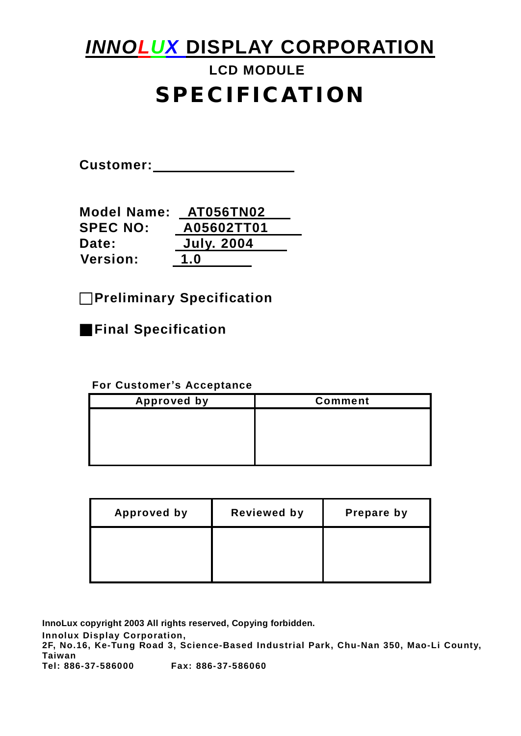# *INNOLUX* **DISPLAY CORPORATION**

# **LCD MODULE SPECIFICATION**

**Customer:** 

| <b>Model Name:</b> | <b>AT056TN02</b>  |
|--------------------|-------------------|
| <b>SPEC NO:</b>    | A05602TT01        |
| Date:              | <b>July. 2004</b> |
| <b>Version:</b>    | 1.0               |

□**Preliminary Specification** 

■**Final Specification** 

#### **For Customer's Acceptance**

| <b>Approved by</b> | <b>Comment</b> |
|--------------------|----------------|
|                    |                |
|                    |                |
|                    |                |
|                    |                |

| <b>Approved by</b> | <b>Reviewed by</b> | Prepare by |
|--------------------|--------------------|------------|
|                    |                    |            |
|                    |                    |            |

**InnoLux copyright 2003 All rights reserved, Copying forbidden. Innolux Display Corporation, 2F, No.16, Ke-Tung Road 3, Science-Based Industrial Park, Chu-Nan 350, Mao-Li County, Taiwan Tel: 886-37-586000 Fax: 886-37-586060**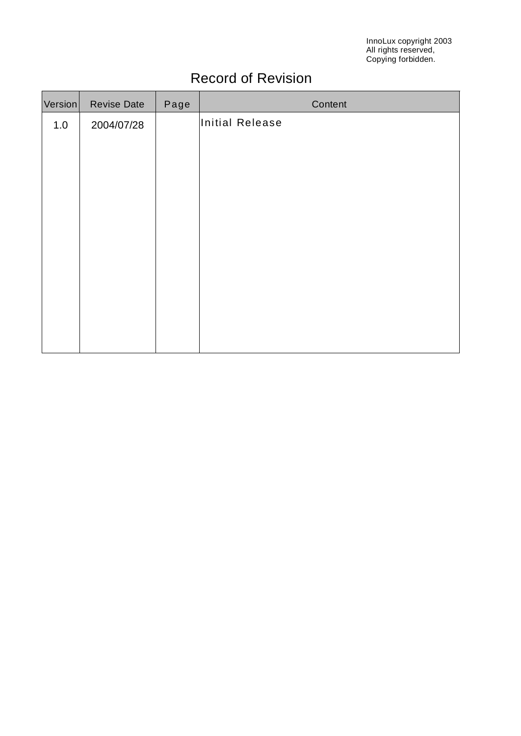InnoLux copyright 2003 All rights reserved, Copying forbidden.

# Record of Revision

| Version | <b>Revise Date</b> | Page | Content         |
|---------|--------------------|------|-----------------|
| 1.0     | 2004/07/28         |      | Initial Release |
|         |                    |      |                 |
|         |                    |      |                 |
|         |                    |      |                 |
|         |                    |      |                 |
|         |                    |      |                 |
|         |                    |      |                 |
|         |                    |      |                 |
|         |                    |      |                 |
|         |                    |      |                 |
|         |                    |      |                 |
|         |                    |      |                 |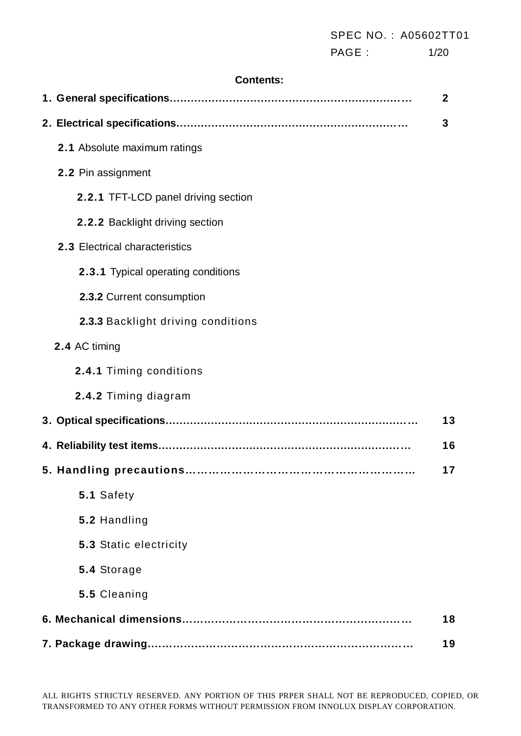|                                     | SPEC NO.: A05602TT01 |                  |
|-------------------------------------|----------------------|------------------|
|                                     | PAGE :               | 1/20             |
| <b>Contents:</b>                    |                      |                  |
|                                     |                      | $\boldsymbol{2}$ |
|                                     |                      | 3                |
| 2.1 Absolute maximum ratings        |                      |                  |
| 2.2 Pin assignment                  |                      |                  |
| 2.2.1 TFT-LCD panel driving section |                      |                  |
| 2.2.2 Backlight driving section     |                      |                  |
| 2.3 Electrical characteristics      |                      |                  |
| 2.3.1 Typical operating conditions  |                      |                  |
| 2.3.2 Current consumption           |                      |                  |
| 2.3.3 Backlight driving conditions  |                      |                  |
| 2.4 AC timing                       |                      |                  |
| 2.4.1 Timing conditions             |                      |                  |
| 2.4.2 Timing diagram                |                      |                  |
| 3. Optical specifications           |                      | 13               |
|                                     |                      | 16               |
|                                     |                      | 17               |
| 5.1 Safety                          |                      |                  |
| 5.2 Handling                        |                      |                  |
| 5.3 Static electricity              |                      |                  |
| 5.4 Storage                         |                      |                  |
| 5.5 Cleaning                        |                      |                  |
|                                     |                      | 18               |
|                                     |                      | 19               |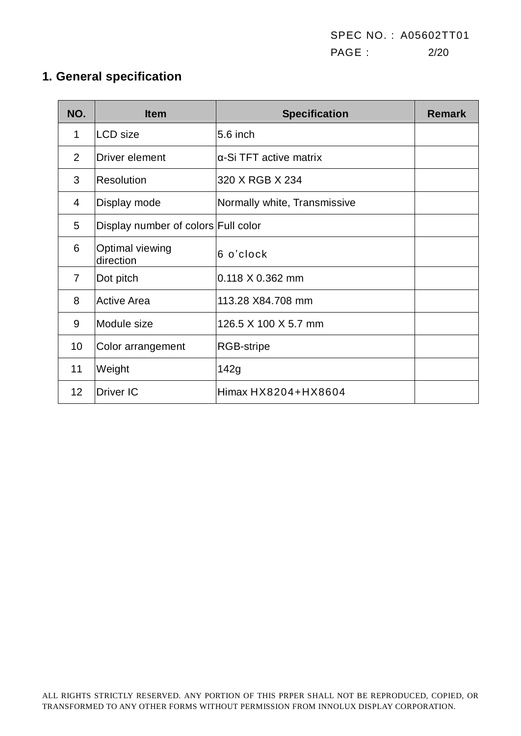SPEC NO. : A05602TT01 PAGE : 2/20

# **1. General specification**

| NO.            | <b>Item</b>                         | <b>Specification</b>           | <b>Remark</b> |
|----------------|-------------------------------------|--------------------------------|---------------|
| 1              | <b>LCD</b> size                     | 5.6 inch                       |               |
| 2              | Driver element                      | $\alpha$ -Si TFT active matrix |               |
| 3              | Resolution                          | 320 X RGB X 234                |               |
| 4              | Display mode                        | Normally white, Transmissive   |               |
| 5              | Display number of colors Full color |                                |               |
| 6              | Optimal viewing<br>direction        | 6 o'clock                      |               |
| $\overline{7}$ | Dot pitch                           | $0.118 \times 0.362$ mm        |               |
| 8              | <b>Active Area</b>                  | 113.28 X84.708 mm              |               |
| 9              | Module size                         | 126.5 X 100 X 5.7 mm           |               |
| 10             | Color arrangement                   | <b>RGB-stripe</b>              |               |
| 11             | Weight                              | 142g                           |               |
| 12             | <b>Driver IC</b>                    | Himax HX8204+HX8604            |               |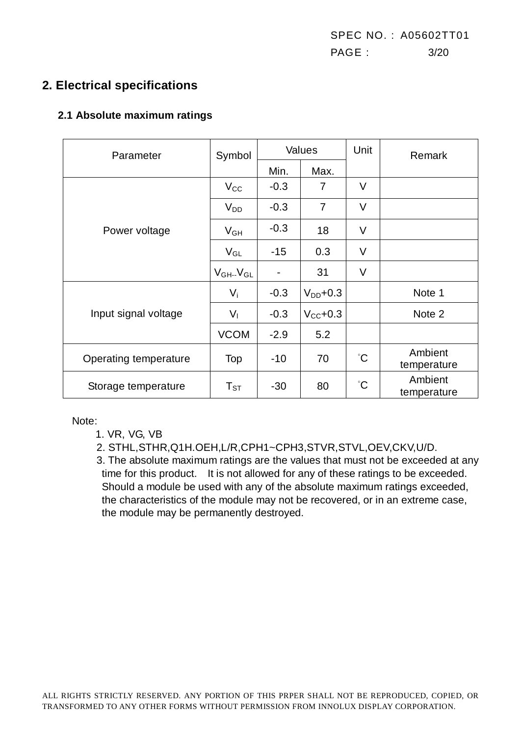# **2. Electrical specifications**

#### **2.1 Absolute maximum ratings**

| Parameter             | Symbol              |        | Values               | Unit        | Remark                 |
|-----------------------|---------------------|--------|----------------------|-------------|------------------------|
|                       |                     | Min.   | Max.                 |             |                        |
|                       | $V_{\rm CC}$        | $-0.3$ | 7                    | $\vee$      |                        |
|                       | $V_{DD}$            | $-0.3$ | $\overline{7}$       | $\vee$      |                        |
| Power voltage         | $V_{GH}$            | $-0.3$ | 18                   | V           |                        |
|                       | $V_{GL}$            | $-15$  | 0.3                  | V           |                        |
|                       | $V_{GH}$ - $V_{GL}$ | -      | 31                   | V           |                        |
|                       | $V_i$               | $-0.3$ | $V_{DD}$ +0.3        |             | Note 1                 |
| Input signal voltage  | $V_{\parallel}$     | $-0.3$ | $V_{\text{CC}}$ +0.3 |             | Note 2                 |
|                       | <b>VCOM</b>         | $-2.9$ | 5.2                  |             |                        |
| Operating temperature | Top                 | -10    | 70                   | $^{\circ}C$ | Ambient<br>temperature |
| Storage temperature   | $T_{ST}$            | $-30$  | 80                   | $^{\circ}C$ | Ambient<br>temperature |

Note:

1. VR, VG, VB

2. STHL,STHR,Q1H.OEH,L/R,CPH1~CPH3,STVR,STVL,OEV,CKV,U/D.

3. The absolute maximum ratings are the values that must not be exceeded at any time for this product. It is not allowed for any of these ratings to be exceeded. Should a module be used with any of the absolute maximum ratings exceeded, the characteristics of the module may not be recovered, or in an extreme case, the module may be permanently destroyed.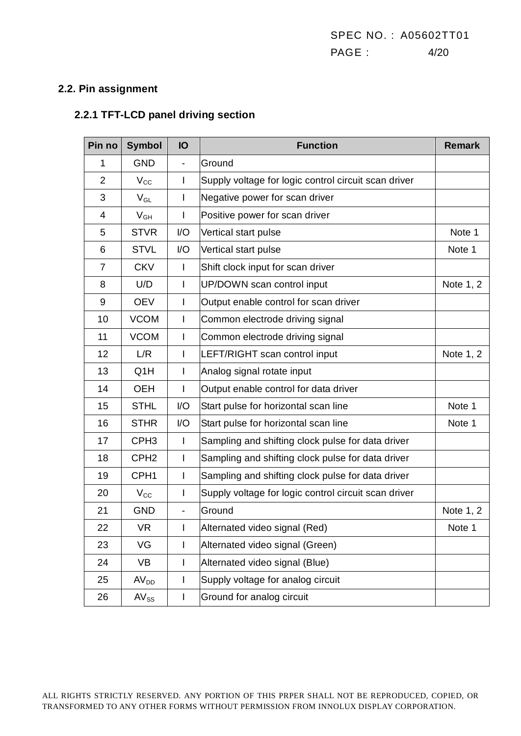#### **2.2. Pin assignment**

## **2.2.1 TFT-LCD panel driving section**

| Pin no         | <b>Symbol</b>              | IO                       | <b>Function</b>                                      | <b>Remark</b> |
|----------------|----------------------------|--------------------------|------------------------------------------------------|---------------|
| 1              | <b>GND</b>                 | $\blacksquare$           | Ground                                               |               |
| $\overline{2}$ | $V_{\rm CC}$               | I                        | Supply voltage for logic control circuit scan driver |               |
| 3              | $\mathsf{V}_{\mathsf{GL}}$ | I                        | Negative power for scan driver                       |               |
| 4              | $V_{GH}$                   | I                        | Positive power for scan driver                       |               |
| 5              | <b>STVR</b>                | I/O                      | Vertical start pulse                                 | Note 1        |
| 6              | <b>STVL</b>                | I/O                      | Vertical start pulse                                 | Note 1        |
| $\overline{7}$ | <b>CKV</b>                 | I                        | Shift clock input for scan driver                    |               |
| 8              | U/D                        | I                        | UP/DOWN scan control input                           | Note 1, 2     |
| 9              | <b>OEV</b>                 | $\mathsf{I}$             | Output enable control for scan driver                |               |
| 10             | <b>VCOM</b>                | I                        | Common electrode driving signal                      |               |
| 11             | <b>VCOM</b>                | $\overline{\phantom{a}}$ | Common electrode driving signal                      |               |
| 12             | L/R                        | I                        | LEFT/RIGHT scan control input                        | Note 1, 2     |
| 13             | Q <sub>1</sub> H           | I                        | Analog signal rotate input                           |               |
| 14             | <b>OEH</b>                 | I                        | Output enable control for data driver                |               |
| 15             | <b>STHL</b>                | I/O                      | Start pulse for horizontal scan line                 | Note 1        |
| 16             | <b>STHR</b>                | I/O                      | Start pulse for horizontal scan line                 | Note 1        |
| 17             | CPH <sub>3</sub>           | $\mathsf{I}$             | Sampling and shifting clock pulse for data driver    |               |
| 18             | CPH <sub>2</sub>           | I                        | Sampling and shifting clock pulse for data driver    |               |
| 19             | CPH <sub>1</sub>           | I                        | Sampling and shifting clock pulse for data driver    |               |
| 20             | $V_{\rm CC}$               | I                        | Supply voltage for logic control circuit scan driver |               |
| 21             | <b>GND</b>                 | -                        | Ground                                               | Note 1, 2     |
| 22             | <b>VR</b>                  |                          | Alternated video signal (Red)                        | Note 1        |
| 23             | VG                         | $\mathbf{I}$             | Alternated video signal (Green)                      |               |
| 24             | VB                         | I                        | Alternated video signal (Blue)                       |               |
| 25             | AV <sub>DD</sub>           | I                        | Supply voltage for analog circuit                    |               |
| 26             | $AV_{SS}$                  | I                        | Ground for analog circuit                            |               |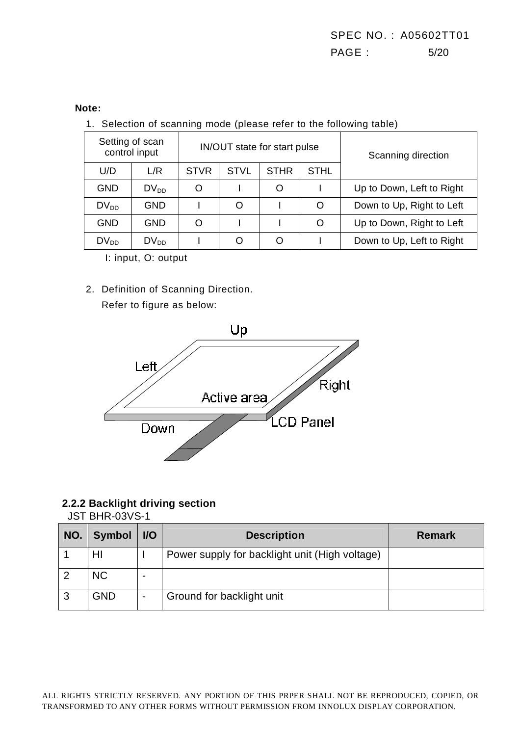#### **Note:**

1. Selection of scanning mode (please refer to the following table)

|            | Setting of scan<br>control input |             |             | IN/OUT state for start pulse | Scanning direction |                           |
|------------|----------------------------------|-------------|-------------|------------------------------|--------------------|---------------------------|
| U/D        | L/R                              | <b>STVR</b> | <b>STVL</b> | <b>STHR</b>                  | <b>STHL</b>        |                           |
| <b>GND</b> | $DV_{DD}$                        | Ω           |             |                              |                    | Up to Down, Left to Right |
| $DV_{DD}$  | <b>GND</b>                       |             | O           |                              | Ω                  | Down to Up, Right to Left |
| <b>GND</b> | <b>GND</b>                       | O           |             |                              | $\Omega$           | Up to Down, Right to Left |
| $DV_{DD}$  | $DV_{DD}$                        |             |             |                              |                    | Down to Up, Left to Right |

I: input, O: output

2. Definition of Scanning Direction.

Refer to figure as below:



#### **2.2.2 Backlight driving section**

JST BHR-03VS-1

| NO. | <b>Symbol</b> | $UO$ | <b>Description</b>                             | <b>Remark</b> |
|-----|---------------|------|------------------------------------------------|---------------|
|     | HI            |      | Power supply for backlight unit (High voltage) |               |
|     | <b>NC</b>     |      |                                                |               |
| 3   | <b>GND</b>    |      | Ground for backlight unit                      |               |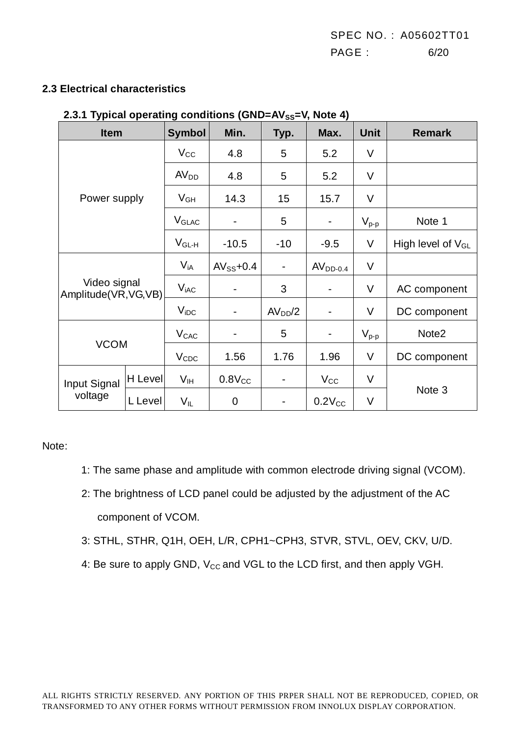#### **2.3 Electrical characteristics**

| 4.V.I                                 |         |                         | $1$ ypical operating conditions (OND-AvSS-v, Note 4) |                              |                              |             |                        |
|---------------------------------------|---------|-------------------------|------------------------------------------------------|------------------------------|------------------------------|-------------|------------------------|
| <b>Item</b>                           |         | <b>Symbol</b>           | Min.                                                 | Typ.                         | Max.                         | <b>Unit</b> | <b>Remark</b>          |
|                                       |         | $V_{\rm CC}$            | 4.8                                                  | 5                            | 5.2                          | V           |                        |
|                                       |         | AV <sub>DD</sub>        | 4.8                                                  | 5                            | 5.2                          | $\vee$      |                        |
| Power supply                          |         | $V_{GH}$                | 14.3                                                 | 15                           | 15.7                         | $\vee$      |                        |
|                                       |         | <b>V<sub>GLAC</sub></b> | $\overline{\phantom{0}}$                             | 5                            | $\qquad \qquad \blacksquare$ | $V_{p-p}$   | Note 1                 |
|                                       |         | $V_{GL-H}$              | $-10.5$                                              | $-10$                        | $-9.5$                       | V           | High level of $V_{GL}$ |
|                                       |         | $V_{iA}$                | $AV_{SS}$ +0.4                                       | $\qquad \qquad \blacksquare$ | $AVDD-0.4$                   | V           |                        |
| Video signal<br>Amplitude(VR, VG, VB) |         | $V_{iAC}$               |                                                      | 3                            | $\overline{\phantom{a}}$     | V           | AC component           |
|                                       |         | $V_{\text{IDC}}$        | -                                                    | AV <sub>DD</sub> /2          | $\qquad \qquad \blacksquare$ | V           | DC component           |
|                                       |         | <b>V<sub>CAC</sub></b>  |                                                      | 5                            | $\blacksquare$               | $V_{p-p}$   | Note <sub>2</sub>      |
| <b>VCOM</b>                           |         | $V_{CDC}$               | 1.56                                                 | 1.76                         | 1.96                         | V           | DC component           |
| Input Signal                          | H Level | V <sub>IH</sub>         | $0.8V_{CC}$                                          | $\overline{\phantom{a}}$     | $V_{\rm CC}$                 | $\vee$      |                        |
| voltage                               | L Level | $V_{IL}$                | $\mathbf 0$                                          |                              | $0.2V_{CC}$                  | $\vee$      | Note 3                 |

#### **2.3.1 Typical operating conditions (GND=AVSS=V, Note 4)**

Note:

- 1: The same phase and amplitude with common electrode driving signal (VCOM).
- 2: The brightness of LCD panel could be adjusted by the adjustment of the AC component of VCOM.
- 3: STHL, STHR, Q1H, OEH, L/R, CPH1~CPH3, STVR, STVL, OEV, CKV, U/D.
- 4: Be sure to apply GND, V<sub>cc</sub> and VGL to the LCD first, and then apply VGH.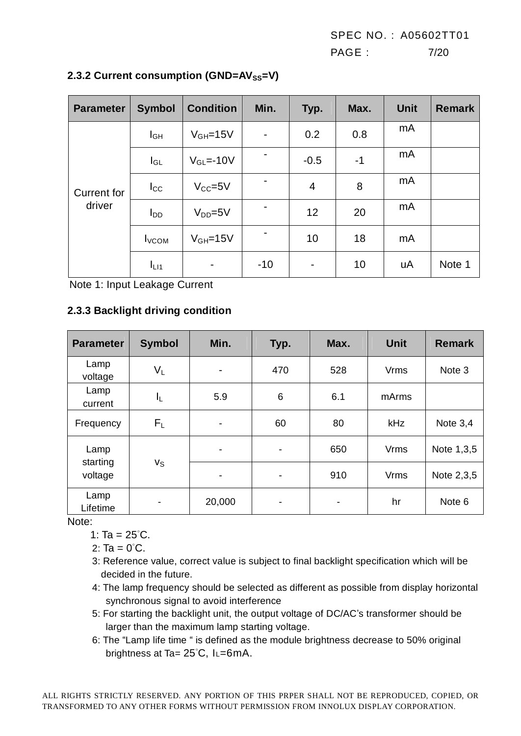SPEC NO. : A05602TT01 PAGE : 7/20

| <b>Parameter</b>             | <b>Symbol</b>            | <b>Condition</b>       | Min.                     | Typ.                     | Max. | <b>Unit</b> | <b>Remark</b> |
|------------------------------|--------------------------|------------------------|--------------------------|--------------------------|------|-------------|---------------|
| <b>Current for</b><br>driver | I <sub>GH</sub>          | $V_{GH} = 15V$         | $\overline{\phantom{a}}$ | 0.2                      | 0.8  | mA          |               |
|                              | $I_{GL}$                 | $V_{\text{GI}} = -10V$ |                          | $-0.5$                   | $-1$ | mA          |               |
|                              | $I_{\rm CC}$             | $V_{CC} = 5V$          |                          | 4                        | 8    | mA          |               |
|                              | l <sub>DD</sub>          | $V_{DD} = 5V$          |                          | 12                       | 20   | mA          |               |
|                              | <b>I</b> <sub>VCOM</sub> | $V_{GH} = 15V$         |                          | 10                       | 18   | mA          |               |
|                              | $I_{L11}$                | -                      | $-10$                    | $\overline{\phantom{a}}$ | 10   | uA          | Note 1        |

#### **2.3.2 Current consumption (GND=AV**<sub>SS</sub>=V)

Note 1: Input Leakage Current

#### **2.3.3 Backlight driving condition**

| <b>Parameter</b>    | <b>Symbol</b>            | Min.                     | Typ. | Max.           | <b>Unit</b> | <b>Remark</b> |
|---------------------|--------------------------|--------------------------|------|----------------|-------------|---------------|
| Lamp<br>voltage     | $V_L$                    | $\blacksquare$           | 470  | 528            | <b>Vrms</b> | Note 3        |
| Lamp<br>current     | IL,                      | 5.9                      | 6    | 6.1            | mArms       |               |
| Frequency           | $F_{\rm L}$              | $\overline{\phantom{a}}$ | 60   | 80             | kHz         | Note 3,4      |
| Lamp                |                          | $\overline{\phantom{a}}$ | -    | 650            | <b>Vrms</b> | Note 1,3,5    |
| starting<br>voltage | <b>V<sub>S</sub></b>     | -                        | -    | 910            | <b>Vrms</b> | Note 2,3,5    |
| Lamp<br>Lifetime    | $\overline{\phantom{a}}$ | 20,000                   | -    | $\blacksquare$ | hr          | Note 6        |

Note:

1: Ta =  $25^{\circ}$ C.

2:  $Ta = 0^{\circ}C$ .

- 3: Reference value, correct value is subject to final backlight specification which will be decided in the future.
- 4: The lamp frequency should be selected as different as possible from display horizontal synchronous signal to avoid interference
- 5: For starting the backlight unit, the output voltage of DC/AC's transformer should be larger than the maximum lamp starting voltage.
- 6: The "Lamp life time " is defined as the module brightness decrease to 50% original brightness at Ta= 25°C, IL=6mA.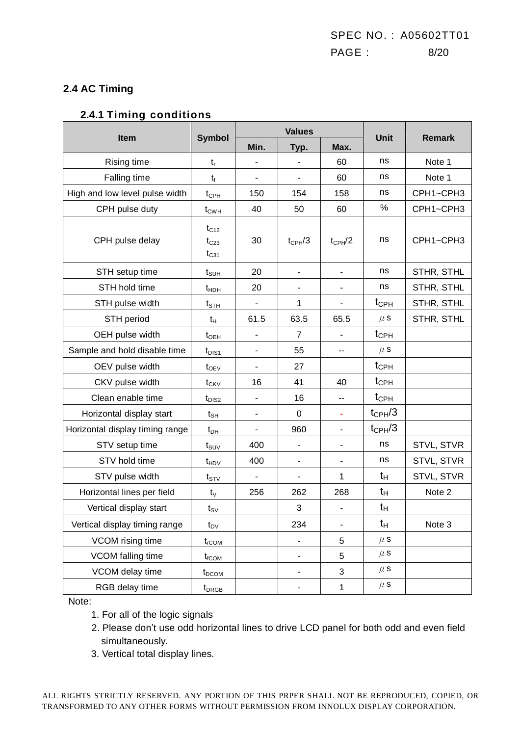#### **2.4 AC Timing**

#### **2.4.1 Timing conditions**

|                                 |                                     |                              | <b>Values</b>                | Unit                         | <b>Remark</b>      |            |
|---------------------------------|-------------------------------------|------------------------------|------------------------------|------------------------------|--------------------|------------|
| Item                            | <b>Symbol</b>                       | Min.                         | Typ.                         | Max.                         |                    |            |
| Rising time                     | $t_{r}$                             |                              | $\blacksquare$               | 60                           | ns                 | Note 1     |
| Falling time                    | $t_{f}$                             | ä,                           | $\blacksquare$               | 60                           | ns                 | Note 1     |
| High and low level pulse width  | $t_{\text{CPH}}$                    | 150                          | 154                          | 158                          | ns                 | CPH1~CPH3  |
| CPH pulse duty                  | $t_{CWH}$                           | 40                           | 50                           | 60                           | %                  | CPH1~CPH3  |
| CPH pulse delay                 | $t_{C12}$<br>$t_{C23}$<br>$t_{C31}$ | 30                           | $t_{\text{CPH}}/3$           | $t_{\text{CPH}}/2$           | ns                 | CPH1~CPH3  |
| STH setup time                  | $t_{\scriptstyle\text{SUH}}$        | 20                           | $\qquad \qquad \blacksquare$ | $\overline{\phantom{0}}$     | ns                 | STHR, STHL |
| STH hold time                   | $t_{HDH}$                           | 20                           | $\qquad \qquad \blacksquare$ | $\qquad \qquad \blacksquare$ | ns                 | STHR, STHL |
| STH pulse width                 | $t_{\scriptstyle\text{STH}}$        | $\overline{\phantom{0}}$     | 1                            | $\overline{\phantom{a}}$     | $t_{\text{CPH}}$   | STHR, STHL |
| STH period                      | $t_H$                               | 61.5                         | 63.5                         | 65.5                         | $\mu$ s            | STHR, STHL |
| OEH pulse width                 | $t_{\text{OEH}}$                    | $\qquad \qquad \blacksquare$ | $\overline{7}$               |                              | $t_{\text{CPH}}$   |            |
| Sample and hold disable time    | $t_{DIS1}$                          | $\overline{a}$               | 55                           | --                           | $\mu$ S            |            |
| OEV pulse width                 | $t_{OEV}$                           | $\overline{\phantom{0}}$     | 27                           |                              | $t_{\text{CPH}}$   |            |
| CKV pulse width                 | $t_{CKV}$                           | 16                           | 41                           | 40                           | $t_{\text{CPH}}$   |            |
| Clean enable time               | $t_{DIS2}$                          | ä,                           | 16                           | $\overline{a}$               | $t_{\text{CPH}}$   |            |
| Horizontal display start        | $t_{\text{SH}}$                     | $\overline{a}$               | $\mathbf 0$                  | ÷.                           | $t_{CPH}/3$        |            |
| Horizontal display timing range | $t_{DH}$                            | $\qquad \qquad \blacksquare$ | 960                          | $\overline{\phantom{a}}$     | $t_{\text{CPH}}/3$ |            |
| STV setup time                  | $t_{\scriptstyle\text{SUV}}$        | 400                          | $\qquad \qquad \blacksquare$ | $\qquad \qquad \blacksquare$ | ns                 | STVL, STVR |
| STV hold time                   | $t_{HDV}$                           | 400                          | $\qquad \qquad \blacksquare$ | $\overline{\phantom{a}}$     | ns                 | STVL, STVR |
| STV pulse width                 | $t_{\footnotesize\rm STV}$          | $\overline{\phantom{0}}$     | $\qquad \qquad \blacksquare$ | 1                            | tн                 | STVL, STVR |
| Horizontal lines per field      | $t_{\rm V}$                         | 256                          | 262                          | 268                          | tн                 | Note 2     |
| Vertical display start          | $t_{\text{SV}}$                     |                              | 3                            | $\overline{\phantom{a}}$     | $t_H$              |            |
| Vertical display timing range   | $t_{\text{DV}}$                     |                              | 234                          | $\qquad \qquad \blacksquare$ | tн                 | Note 3     |
| VCOM rising time                | $t_{rCOM}$                          |                              | ÷,                           | 5                            | $\mu$ S            |            |
| VCOM falling time               | $t_{\text{fCOM}}$                   |                              | -                            | 5                            | $\mu$ S            |            |
| VCOM delay time                 | $t_{DCOM}$                          |                              | ٠                            | 3                            | $\mu$ S            |            |
| RGB delay time                  | $t_{DRGB}$                          |                              |                              | $\mathbf{1}$                 | $\mu$ s            |            |

Note:

- 1. For all of the logic signals
- 2. Please don't use odd horizontal lines to drive LCD panel for both odd and even field simultaneously.
- 3. Vertical total display lines.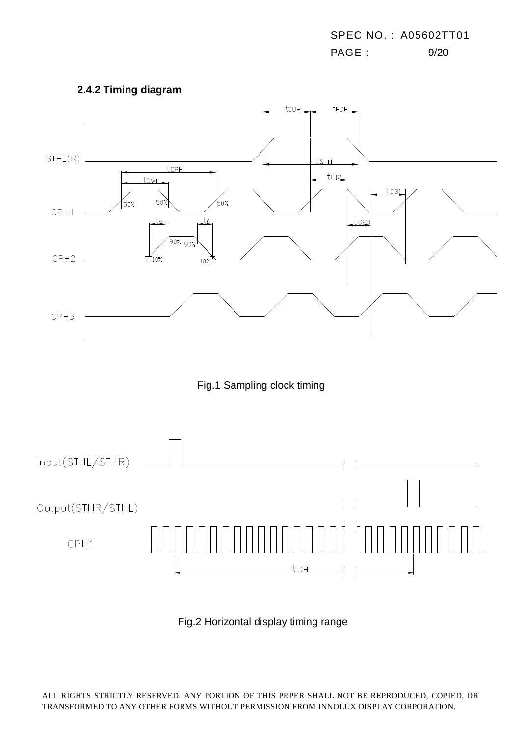





Fig.2 Horizontal display timing range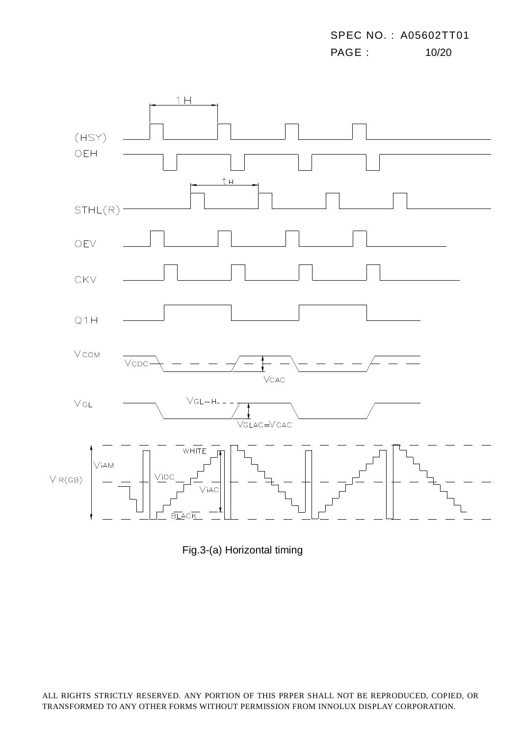SPEC NO. : A05602TT01 PAGE : 10/20



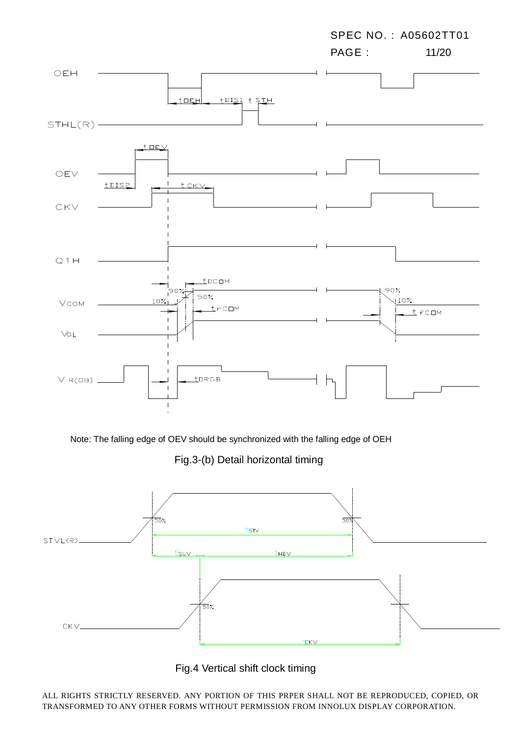

Note: The falling edge of OEV should be synchronized with the falling edge of OEH

Fig.3-(b) Detail horizontal timing



Fig.4 Vertical shift clock timing

ALL RIGHTS STRICTLY RESERVED. ANY PORTION OF THIS PRPER SHALL NOT BE REPRODUCED, COPIED, OR TRANSFORMED TO ANY OTHER FORMS WITHOUT PERMISSION FROM INNOLUX DISPLAY CORPORATION.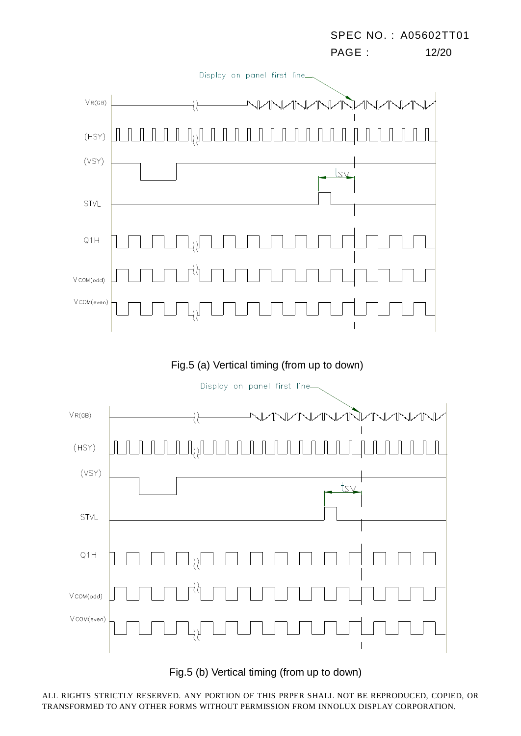

Fig.5 (b) Vertical timing (from up to down)

ALL RIGHTS STRICTLY RESERVED. ANY PORTION OF THIS PRPER SHALL NOT BE REPRODUCED, COPIED, OR TRANSFORMED TO ANY OTHER FORMS WITHOUT PERMISSION FROM INNOLUX DISPLAY CORPORATION.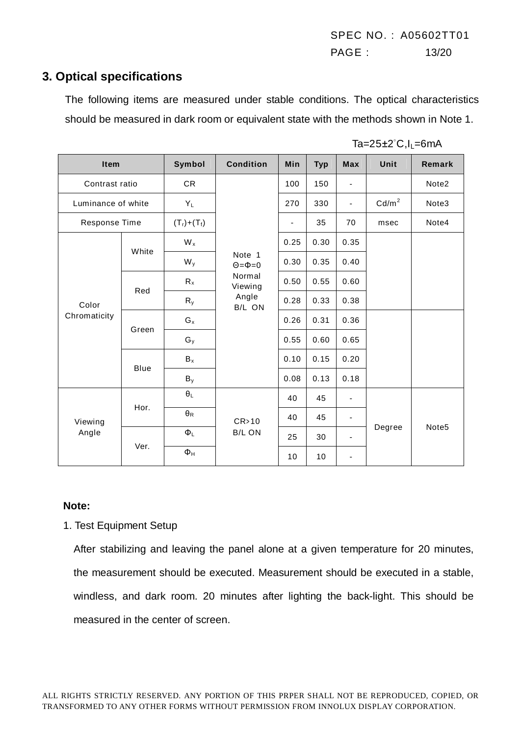SPEC NO. : A05602TT01 PAGE : 13/20

#### **3. Optical specifications**

The following items are measured under stable conditions. The optical characteristics should be measured in dark room or equivalent state with the methods shown in Note 1.

| $Ta=25\pm2^{\circ}C, I_{L}=6mA$ |  |
|---------------------------------|--|
|---------------------------------|--|

| Item                  |       | Symbol                  | <b>Condition</b>                                                      | Min                      | <b>Typ</b> | <b>Max</b>               | Unit              | Remark            |
|-----------------------|-------|-------------------------|-----------------------------------------------------------------------|--------------------------|------------|--------------------------|-------------------|-------------------|
| Contrast ratio        |       | <b>CR</b>               |                                                                       | 100                      | 150        | $\blacksquare$           |                   | Note2             |
| Luminance of white    |       | $Y_L$                   |                                                                       | 270                      | 330        |                          | Cd/m <sup>2</sup> | Note3             |
| Response Time         |       | $(T_1)+(T_1)$           |                                                                       | $\overline{\phantom{0}}$ | 35         | 70                       | msec              | Note4             |
| Color<br>Chromaticity | White | $W_x$                   | Note 1<br>$\Theta = \Phi = 0$<br>Normal<br>Viewing<br>Angle<br>B/L ON | 0.25                     | 0.30       | 0.35                     |                   |                   |
|                       |       | $W_{y}$                 |                                                                       | 0.30                     | 0.35       | 0.40                     |                   |                   |
|                       | Red   | $R_{x}$                 |                                                                       | 0.50                     | 0.55       | 0.60                     |                   |                   |
|                       |       | $R_{y}$                 |                                                                       | 0.28                     | 0.33       | 0.38                     |                   |                   |
|                       | Green | $G_x$                   |                                                                       | 0.26                     | 0.31       | 0.36                     |                   |                   |
|                       |       | $G_y$                   |                                                                       | 0.55                     | 0.60       | 0.65                     |                   |                   |
|                       | Blue  | $B_x$                   |                                                                       | 0.10                     | 0.15       | 0.20                     |                   |                   |
|                       |       | $B_y$                   |                                                                       | 0.08                     | 0.13       | 0.18                     |                   |                   |
| Viewing<br>Angle      | Hor.  | $\theta_{\text{L}}$     | CR>10<br><b>B/L ON</b>                                                | 40                       | 45         | $\blacksquare$           | Degree            |                   |
|                       |       | $\pmb{\theta}_\text{R}$ |                                                                       | 40                       | 45         | $\overline{\phantom{a}}$ |                   |                   |
|                       | Ver.  | $\Phi_L$                |                                                                       | 25                       | 30         | $\overline{\phantom{a}}$ |                   | Note <sub>5</sub> |
|                       |       | $\Phi_H$                |                                                                       | 10                       | 10         | $\overline{\phantom{a}}$ |                   |                   |

#### **Note:**

1. Test Equipment Setup

After stabilizing and leaving the panel alone at a given temperature for 20 minutes, the measurement should be executed. Measurement should be executed in a stable, windless, and dark room. 20 minutes after lighting the back-light. This should be measured in the center of screen.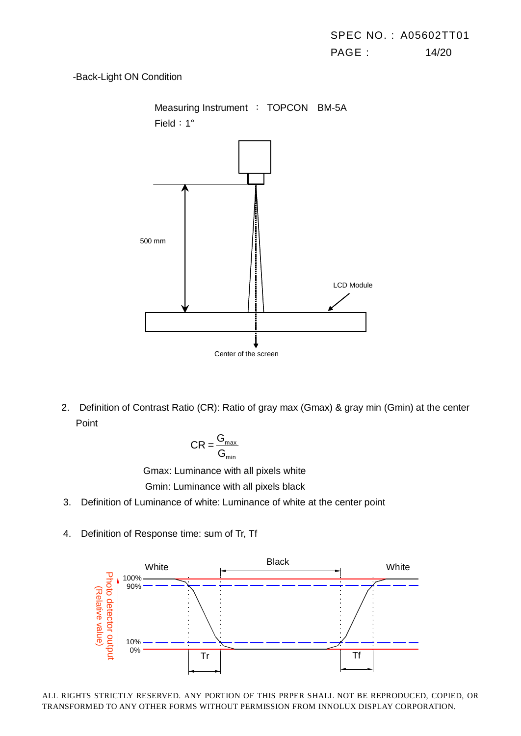#### -Back-Light ON Condition



 2. Definition of Contrast Ratio (CR): Ratio of gray max (Gmax) & gray min (Gmin) at the center Point

$$
CR = \frac{G_{\text{max}}}{G_{\text{min}}}
$$

Gmax: Luminance with all pixels white

Gmin: Luminance with all pixels black

- 3. Definition of Luminance of white: Luminance of white at the center point
- 4. Definition of Response time: sum of Tr, Tf

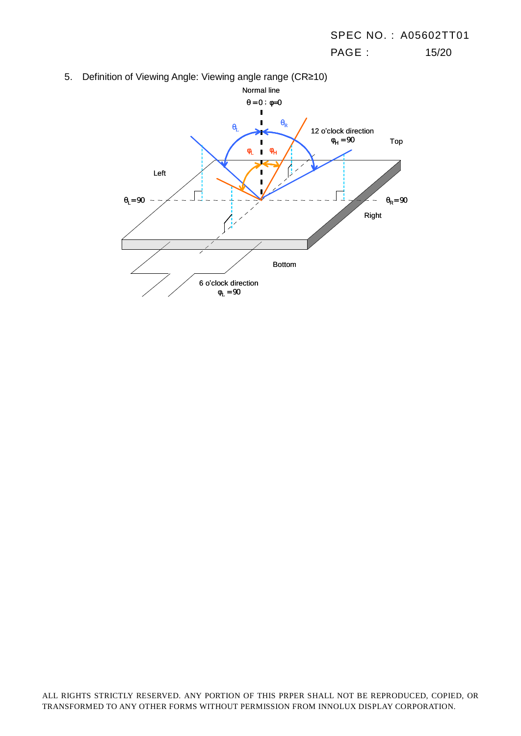PAGE : 15/20

5. Definition of Viewing Angle: Viewing angle range (CR≥10)

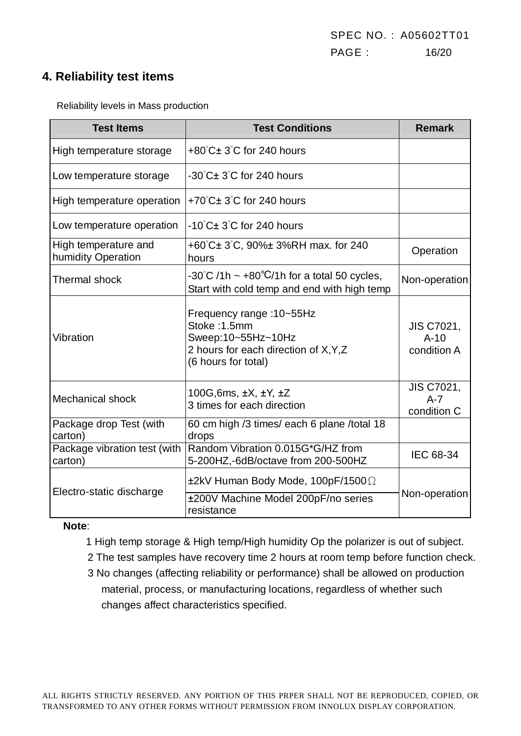### **4. Reliability test items**

Reliability levels in Mass production

| <b>Test Items</b>                          | <b>Test Conditions</b>                                                                                                         | <b>Remark</b>                               |
|--------------------------------------------|--------------------------------------------------------------------------------------------------------------------------------|---------------------------------------------|
| High temperature storage                   | $+80^{\circ}$ C $\pm$ 3 $^{\circ}$ C for 240 hours                                                                             |                                             |
| Low temperature storage                    | $-30^{\circ}$ C $\pm$ 3 $^{\circ}$ C for 240 hours                                                                             |                                             |
| High temperature operation                 | +70°C± 3°C for 240 hours                                                                                                       |                                             |
| Low temperature operation                  | $-10^{\circ}$ C $\pm$ 3 $^{\circ}$ C for 240 hours                                                                             |                                             |
| High temperature and<br>humidity Operation | +60°C± 3°C, 90%± 3%RH max. for 240<br>hours                                                                                    | Operation                                   |
| <b>Thermal shock</b>                       | -30°C /1h ~ +80°C/1h for a total 50 cycles,<br>Start with cold temp and end with high temp                                     | Non-operation                               |
| Vibration                                  | Frequency range: 10~55Hz<br>Stoke: 1.5mm<br>Sweep:10~55Hz~10Hz<br>2 hours for each direction of X, Y, Z<br>(6 hours for total) | <b>JIS C7021,</b><br>$A-10$<br>condition A  |
| <b>Mechanical shock</b>                    | 100G, 6ms, $\pm X$ , $\pm Y$ , $\pm Z$<br>3 times for each direction                                                           | <b>JIS C7021,</b><br>$A - 7$<br>condition C |
| Package drop Test (with<br>carton)         | 60 cm high /3 times/ each 6 plane /total 18<br>drops                                                                           |                                             |
| Package vibration test (with<br>carton)    | Random Vibration 0.015G*G/HZ from<br>5-200HZ,-6dB/octave from 200-500HZ                                                        | IEC 68-34                                   |
| Electro-static discharge                   | ±2kV Human Body Mode, 100pF/1500 $\Omega$<br>±200V Machine Model 200pF/no series<br>resistance                                 | Non-operation                               |

#### **Note**:

- 1 High temp storage & High temp/High humidity Op the polarizer is out of subject.
- 2 The test samples have recovery time 2 hours at room temp before function check.
- 3 No changes (affecting reliability or performance) shall be allowed on production material, process, or manufacturing locations, regardless of whether such changes affect characteristics specified.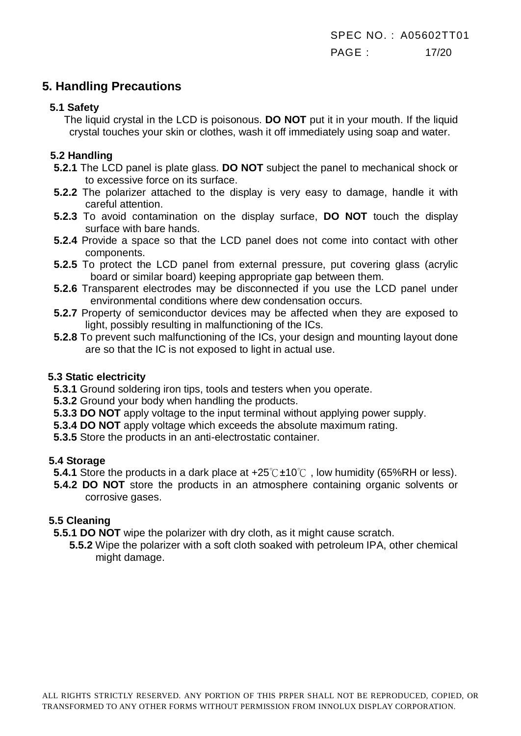## **5. Handling Precautions**

#### **5.1 Safety**

The liquid crystal in the LCD is poisonous. **DO NOT** put it in your mouth. If the liquid crystal touches your skin or clothes, wash it off immediately using soap and water.

#### **5.2 Handling**

- **5.2.1** The LCD panel is plate glass. **DO NOT** subject the panel to mechanical shock or to excessive force on its surface.
- **5.2.2** The polarizer attached to the display is very easy to damage, handle it with careful attention.
- **5.2.3** To avoid contamination on the display surface, **DO NOT** touch the display surface with bare hands.
- **5.2.4** Provide a space so that the LCD panel does not come into contact with other components.
- **5.2.5** To protect the LCD panel from external pressure, put covering glass (acrylic board or similar board) keeping appropriate gap between them.
- **5.2.6** Transparent electrodes may be disconnected if you use the LCD panel under environmental conditions where dew condensation occurs.
- **5.2.7** Property of semiconductor devices may be affected when they are exposed to light, possibly resulting in malfunctioning of the ICs.
- **5.2.8** To prevent such malfunctioning of the ICs, your design and mounting layout done are so that the IC is not exposed to light in actual use.

#### **5.3 Static electricity**

**5.3.1** Ground soldering iron tips, tools and testers when you operate.

- **5.3.2** Ground your body when handling the products.
- **5.3.3 DO NOT** apply voltage to the input terminal without applying power supply.
- **5.3.4 DO NOT** apply voltage which exceeds the absolute maximum rating.
- **5.3.5** Store the products in an anti-electrostatic container.

#### **5.4 Storage**

- **5.4.1** Store the products in a dark place at  $+25^{\circ}$ C $\pm 10^{\circ}$  , low humidity (65%RH or less).
- **5.4.2 DO NOT** store the products in an atmosphere containing organic solvents or corrosive gases.

#### **5.5 Cleaning**

- **5.5.1 DO NOT** wipe the polarizer with dry cloth, as it might cause scratch.
	- **5.5.2** Wipe the polarizer with a soft cloth soaked with petroleum IPA, other chemical might damage.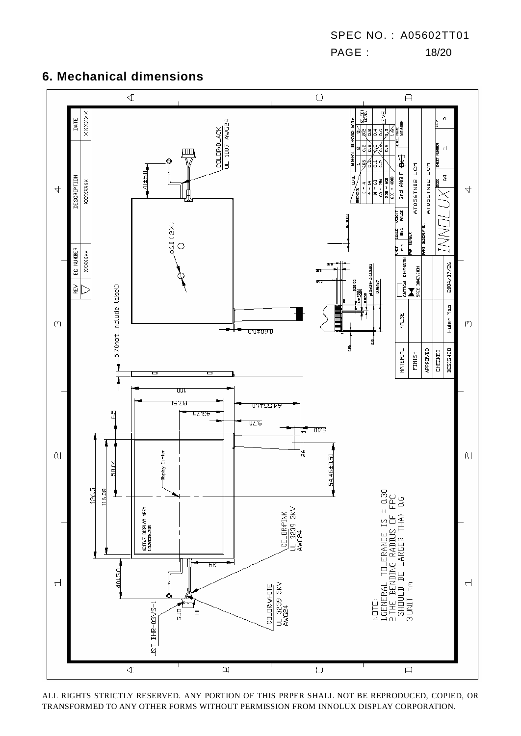SPEC NO. : A05602TT01 PAGE : 18/20

## **6. Mechanical dimensions**



ALL RIGHTS STRICTLY RESERVED. ANY PORTION OF THIS PRPER SHALL NOT BE REPRODUCED, COPIED, OR TRANSFORMED TO ANY OTHER FORMS WITHOUT PERMISSION FROM INNOLUX DISPLAY CORPORATION.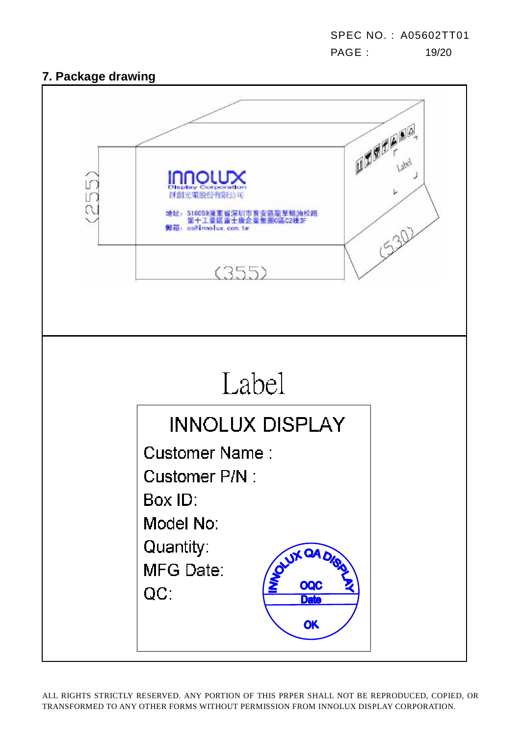SPEC NO. : A05602TT01 PAGE : 19/20

# **7. Package drawing**